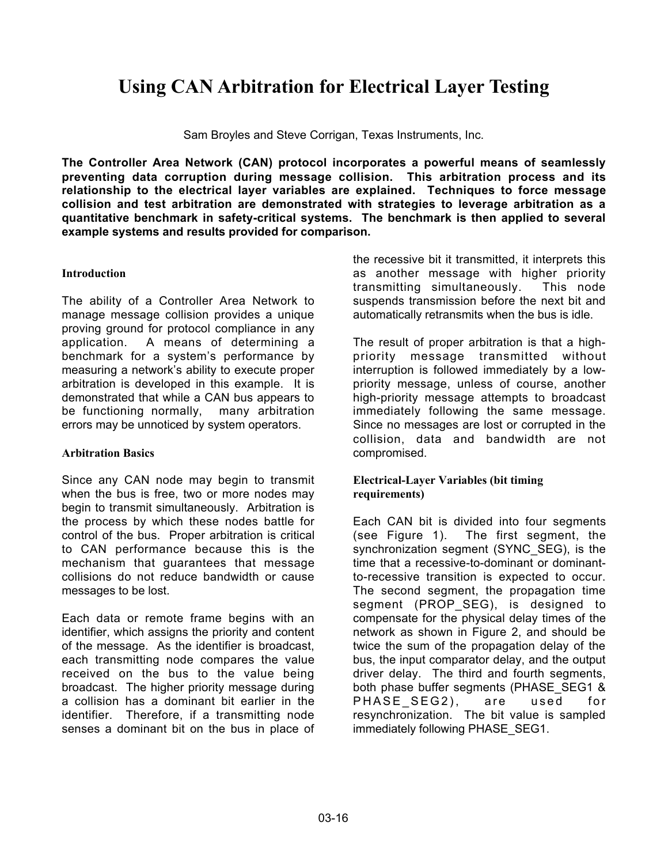# **Using CAN Arbitration for Electrical Layer Testing**

Sam Broyles and Steve Corrigan, Texas Instruments, Inc.

**The Controller Area Network (CAN) protocol incorporates a powerful means of seamlessly preventing data corruption during message collision. This arbitration process and its relationship to the electrical layer variables are explained. Techniques to force message collision and test arbitration are demonstrated with strategies to leverage arbitration as a quantitative benchmark in safety-critical systems. The benchmark is then applied to several example systems and results provided for comparison.**

## **Introduction**

The ability of a Controller Area Network to manage message collision provides a unique proving ground for protocol compliance in any application. A means of determining a benchmark for a system's performance by measuring a network's ability to execute proper arbitration is developed in this example. It is demonstrated that while a CAN bus appears to be functioning normally, many arbitration errors may be unnoticed by system operators.

## **Arbitration Basics**

Since any CAN node may begin to transmit when the bus is free, two or more nodes may begin to transmit simultaneously. Arbitration is the process by which these nodes battle for control of the bus. Proper arbitration is critical to CAN performance because this is the mechanism that guarantees that message collisions do not reduce bandwidth or cause messages to be lost.

Each data or remote frame begins with an identifier, which assigns the priority and content of the message. As the identifier is broadcast, each transmitting node compares the value received on the bus to the value being broadcast. The higher priority message during a collision has a dominant bit earlier in the identifier. Therefore, if a transmitting node senses a dominant bit on the bus in place of the recessive bit it transmitted, it interprets this as another message with higher priority transmitting simultaneously. This node suspends transmission before the next bit and automatically retransmits when the bus is idle.

The result of proper arbitration is that a highpriority message transmitted without interruption is followed immediately by a lowpriority message, unless of course, another high-priority message attempts to broadcast immediately following the same message. Since no messages are lost or corrupted in the collision, data and bandwidth are not compromised.

## **Electrical-Layer Variables (bit timing requirements)**

Each CAN bit is divided into four segments (see Figure 1). The first segment, the synchronization segment (SYNC\_SEG), is the time that a recessive-to-dominant or dominantto-recessive transition is expected to occur. The second segment, the propagation time segment (PROP\_SEG), is designed to compensate for the physical delay times of the network as shown in Figure 2, and should be twice the sum of the propagation delay of the bus, the input comparator delay, and the output driver delay. The third and fourth segments, both phase buffer segments (PHASE\_SEG1 & PHASE\_SEG2), are used for resynchronization. The bit value is sampled immediately following PHASE\_SEG1.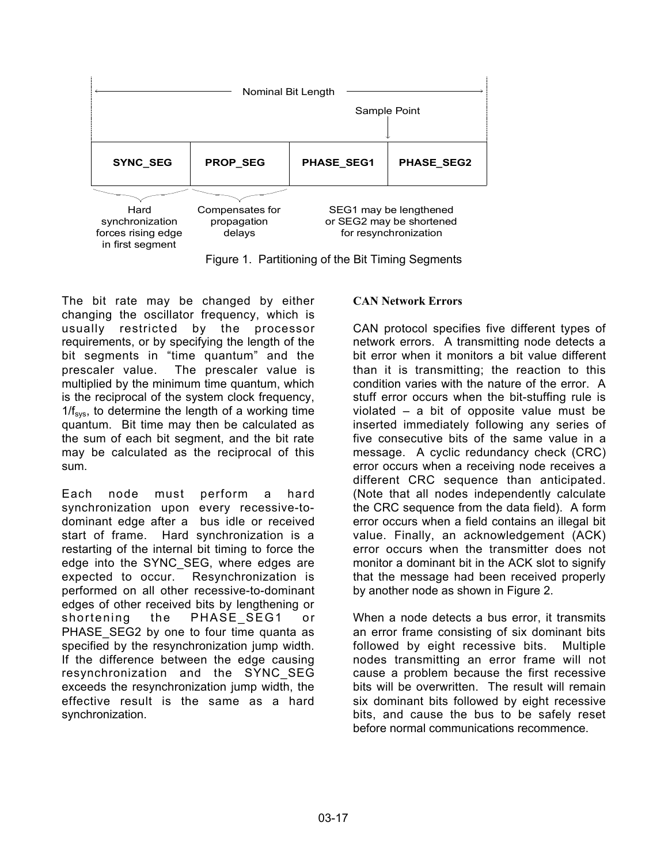

Figure 1. Partitioning of the Bit Timing Segments

The bit rate may be changed by either changing the oscillator frequency, which is usually restricted by the processor requirements, or by specifying the length of the bit segments in "time quantum" and the prescaler value. The prescaler value is multiplied by the minimum time quantum, which is the reciprocal of the system clock frequency,  $1/f_{sys}$ , to determine the length of a working time quantum. Bit time may then be calculated as the sum of each bit segment, and the bit rate may be calculated as the reciprocal of this sum.

Each node must perform a hard synchronization upon every recessive-todominant edge after a bus idle or received start of frame. Hard synchronization is a restarting of the internal bit timing to force the edge into the SYNC\_SEG, where edges are expected to occur. Resynchronization is performed on all other recessive-to-dominant edges of other received bits by lengthening or shortening the PHASE\_SEG1 or PHASE\_SEG2 by one to four time quanta as specified by the resynchronization jump width. If the difference between the edge causing resynchronization and the SYNC\_SEG exceeds the resynchronization jump width, the effective result is the same as a hard synchronization.

# **CAN Network Errors**

CAN protocol specifies five different types of network errors. A transmitting node detects a bit error when it monitors a bit value different than it is transmitting; the reaction to this condition varies with the nature of the error. A stuff error occurs when the bit-stuffing rule is violated – a bit of opposite value must be inserted immediately following any series of five consecutive bits of the same value in a message. A cyclic redundancy check (CRC) error occurs when a receiving node receives a different CRC sequence than anticipated. (Note that all nodes independently calculate the CRC sequence from the data field). A form error occurs when a field contains an illegal bit value. Finally, an acknowledgement (ACK) error occurs when the transmitter does not monitor a dominant bit in the ACK slot to signify that the message had been received properly by another node as shown in Figure 2.

When a node detects a bus error, it transmits an error frame consisting of six dominant bits followed by eight recessive bits. Multiple nodes transmitting an error frame will not cause a problem because the first recessive bits will be overwritten. The result will remain six dominant bits followed by eight recessive bits, and cause the bus to be safely reset before normal communications recommence.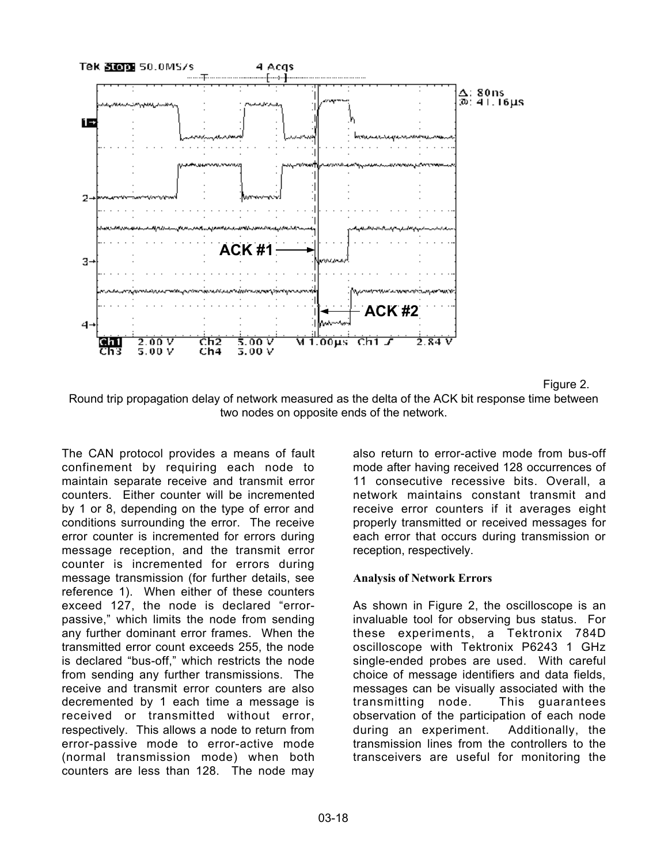

Figure 2.

Round trip propagation delay of network measured as the delta of the ACK bit response time between two nodes on opposite ends of the network.

The CAN protocol provides a means of fault confinement by requiring each node to maintain separate receive and transmit error counters. Either counter will be incremented by 1 or 8, depending on the type of error and conditions surrounding the error. The receive error counter is incremented for errors during message reception, and the transmit error counter is incremented for errors during message transmission (for further details, see reference 1). When either of these counters exceed 127, the node is declared "errorpassive," which limits the node from sending any further dominant error frames. When the transmitted error count exceeds 255, the node is declared "bus-off," which restricts the node from sending any further transmissions. The receive and transmit error counters are also decremented by 1 each time a message is received or transmitted without error, respectively. This allows a node to return from error-passive mode to error-active mode (normal transmission mode) when both counters are less than 128. The node may

also return to error-active mode from bus-off mode after having received 128 occurrences of 11 consecutive recessive bits. Overall, a network maintains constant transmit and receive error counters if it averages eight properly transmitted or received messages for each error that occurs during transmission or reception, respectively.

# **Analysis of Network Errors**

As shown in Figure 2, the oscilloscope is an invaluable tool for observing bus status. For these experiments, a Tektronix 784D oscilloscope with Tektronix P6243 1 GHz single-ended probes are used. With careful choice of message identifiers and data fields, messages can be visually associated with the transmitting node. This guarantees observation of the participation of each node during an experiment. Additionally, the transmission lines from the controllers to the transceivers are useful for monitoring the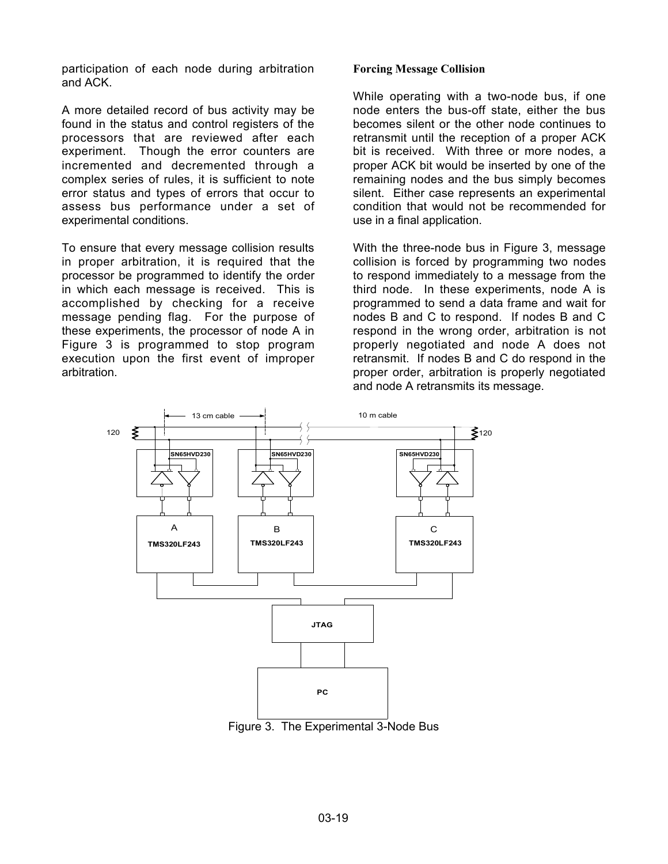participation of each node during arbitration and ACK.

A more detailed record of bus activity may be found in the status and control registers of the processors that are reviewed after each experiment. Though the error counters are incremented and decremented through a complex series of rules, it is sufficient to note error status and types of errors that occur to assess bus performance under a set of experimental conditions.

To ensure that every message collision results in proper arbitration, it is required that the processor be programmed to identify the order in which each message is received. This is accomplished by checking for a receive message pending flag. For the purpose of these experiments, the processor of node A in Figure 3 is programmed to stop program execution upon the first event of improper arbitration.

#### **Forcing Message Collision**

While operating with a two-node bus, if one node enters the bus-off state, either the bus becomes silent or the other node continues to retransmit until the reception of a proper ACK bit is received. With three or more nodes, a proper ACK bit would be inserted by one of the remaining nodes and the bus simply becomes silent. Either case represents an experimental condition that would not be recommended for use in a final application.

With the three-node bus in Figure 3, message collision is forced by programming two nodes to respond immediately to a message from the third node. In these experiments, node A is programmed to send a data frame and wait for nodes B and C to respond. If nodes B and C respond in the wrong order, arbitration is not properly negotiated and node A does not retransmit. If nodes B and C do respond in the proper order, arbitration is properly negotiated and node A retransmits its message.



Figure 3. The Experimental 3-Node Bus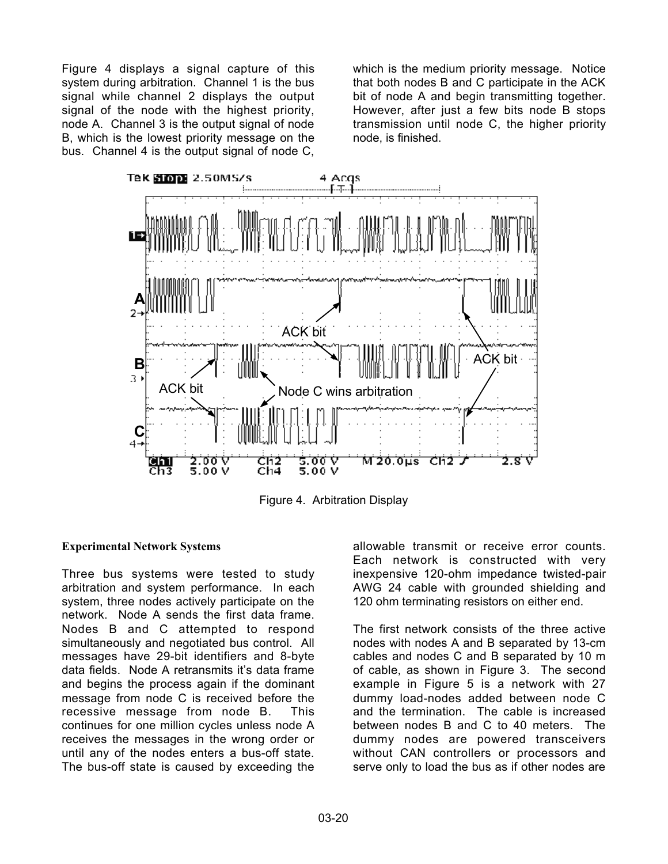Figure 4 displays a signal capture of this system during arbitration. Channel 1 is the bus signal while channel 2 displays the output signal of the node with the highest priority, node A. Channel 3 is the output signal of node B, which is the lowest priority message on the bus. Channel 4 is the output signal of node C,

which is the medium priority message. Notice that both nodes B and C participate in the ACK bit of node A and begin transmitting together. However, after just a few bits node B stops transmission until node C, the higher priority node, is finished.



Figure 4. Arbitration Display

# **Experimental Network Systems**

Three bus systems were tested to study arbitration and system performance. In each system, three nodes actively participate on the network. Node A sends the first data frame. Nodes B and C attempted to respond simultaneously and negotiated bus control. All messages have 29-bit identifiers and 8-byte data fields. Node A retransmits it's data frame and begins the process again if the dominant message from node C is received before the recessive message from node B. This continues for one million cycles unless node A receives the messages in the wrong order or until any of the nodes enters a bus-off state. The bus-off state is caused by exceeding the

allowable transmit or receive error counts. Each network is constructed with very inexpensive 120-ohm impedance twisted-pair AWG 24 cable with grounded shielding and 120 ohm terminating resistors on either end.

The first network consists of the three active nodes with nodes A and B separated by 13-cm cables and nodes C and B separated by 10 m of cable, as shown in Figure 3. The second example in Figure 5 is a network with 27 dummy load-nodes added between node C and the termination. The cable is increased between nodes B and C to 40 meters. The dummy nodes are powered transceivers without CAN controllers or processors and serve only to load the bus as if other nodes are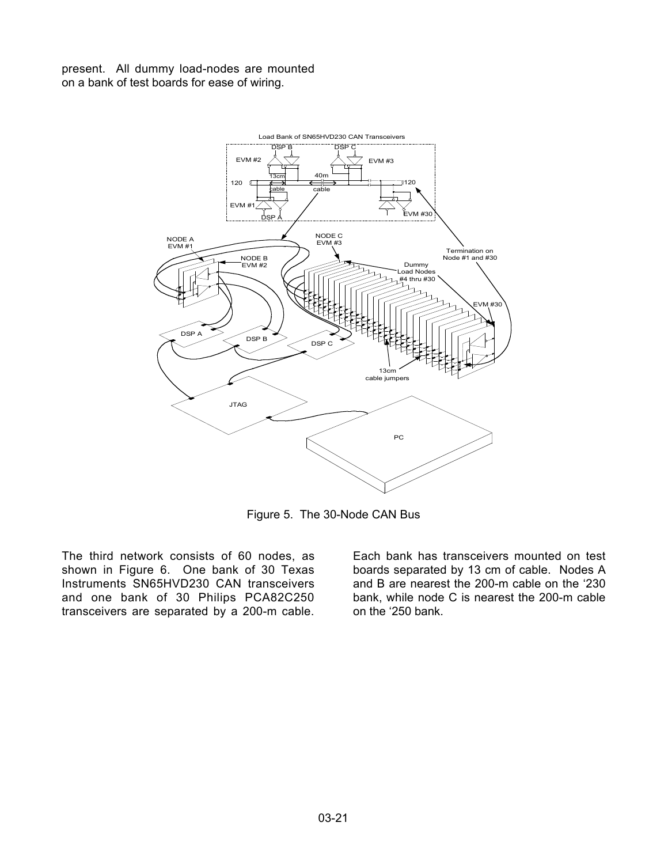present. All dummy load-nodes are mounted on a bank of test boards for ease of wiring.



Figure 5. The 30-Node CAN Bus

The third network consists of 60 nodes, as shown in Figure 6. One bank of 30 Texas Instruments SN65HVD230 CAN transceivers and one bank of 30 Philips PCA82C250 transceivers are separated by a 200-m cable.

Each bank has transceivers mounted on test boards separated by 13 cm of cable. Nodes A and B are nearest the 200-m cable on the '230 bank, while node C is nearest the 200-m cable on the '250 bank.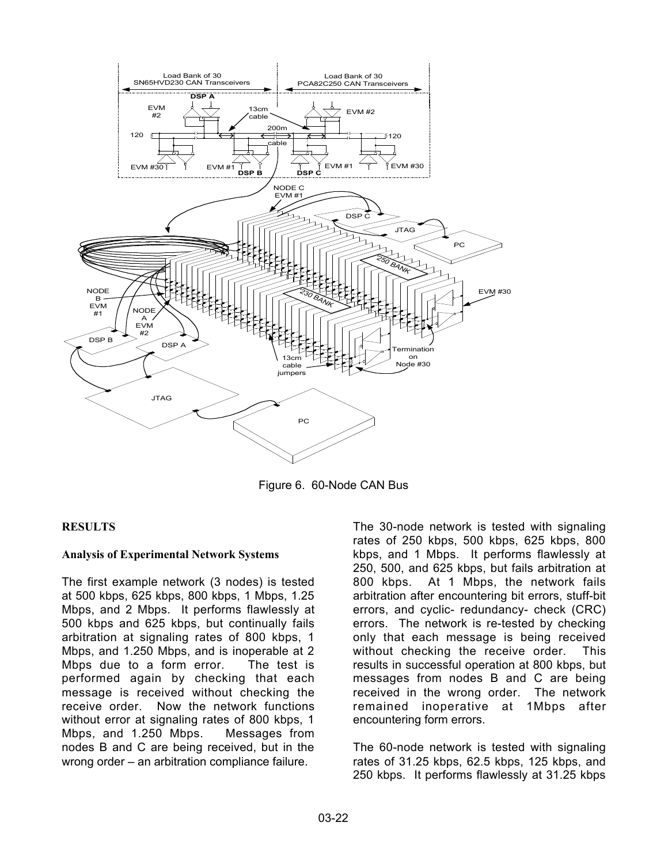

Figure 6. 60-Node CAN Bus

## **RESULTS**

## **Analysis of Experimental Network Systems**

The first example network (3 nodes) is tested at 500 kbps, 625 kbps, 800 kbps, 1 Mbps, 1.25 Mbps, and 2 Mbps. It performs flawlessly at 500 kbps and 625 kbps, but continually fails arbitration at signaling rates of 800 kbps, 1 Mbps, and 1.250 Mbps, and is inoperable at 2 Mbps due to a form error. The test is performed again by checking that each message is received without checking the receive order. Now the network functions without error at signaling rates of 800 kbps, 1 Mbps, and 1.250 Mbps. Messages from nodes B and C are being received, but in the wrong order – an arbitration compliance failure.

The 30-node network is tested with signaling rates of 250 kbps, 500 kbps, 625 kbps, 800 kbps, and 1 Mbps. It performs flawlessly at 250, 500, and 625 kbps, but fails arbitration at 800 kbps. At 1 Mbps, the network fails arbitration after encountering bit errors, stuff-bit errors, and cyclic- redundancy- check (CRC) errors. The network is re-tested by checking only that each message is being received without checking the receive order. This results in successful operation at 800 kbps, but messages from nodes B and C are being received in the wrong order. The network remained inoperative at 1Mbps after encountering form errors.

The 60-node network is tested with signaling rates of 31.25 kbps, 62.5 kbps, 125 kbps, and 250 kbps. It performs flawlessly at 31.25 kbps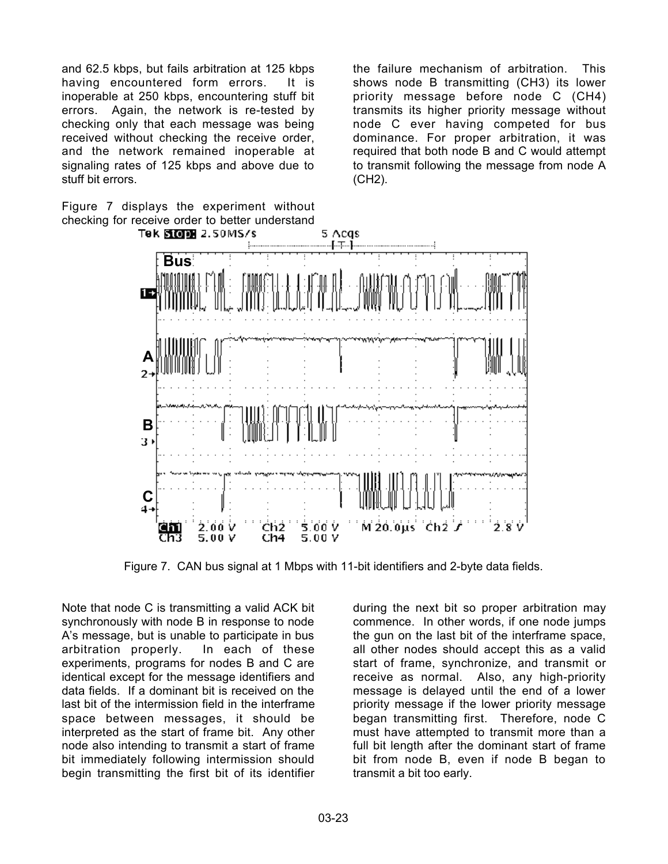and 62.5 kbps, but fails arbitration at 125 kbps having encountered form errors. It is inoperable at 250 kbps, encountering stuff bit errors. Again, the network is re-tested by checking only that each message was being received without checking the receive order, and the network remained inoperable at signaling rates of 125 kbps and above due to stuff bit errors.

Figure 7 displays the experiment without checking for receive order to better understand

the failure mechanism of arbitration. This shows node B transmitting (CH3) its lower priority message before node C (CH4) transmits its higher priority message without node C ever having competed for bus dominance. For proper arbitration, it was required that both node B and C would attempt to transmit following the message from node A (CH2).



Figure 7. CAN bus signal at 1 Mbps with 11-bit identifiers and 2-byte data fields.

Note that node C is transmitting a valid ACK bit synchronously with node B in response to node A's message, but is unable to participate in bus arbitration properly. In each of these experiments, programs for nodes B and C are identical except for the message identifiers and data fields. If a dominant bit is received on the last bit of the intermission field in the interframe space between messages, it should be interpreted as the start of frame bit. Any other node also intending to transmit a start of frame bit immediately following intermission should begin transmitting the first bit of its identifier

during the next bit so proper arbitration may commence. In other words, if one node jumps the gun on the last bit of the interframe space, all other nodes should accept this as a valid start of frame, synchronize, and transmit or receive as normal. Also, any high-priority message is delayed until the end of a lower priority message if the lower priority message began transmitting first. Therefore, node C must have attempted to transmit more than a full bit length after the dominant start of frame bit from node B, even if node B began to transmit a bit too early.